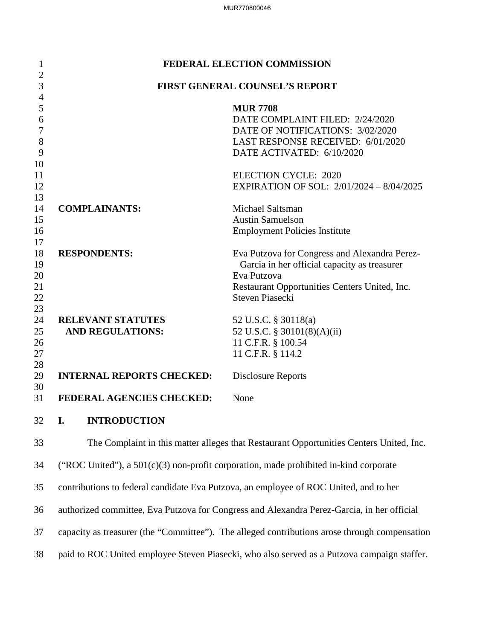| 1                                | FEDERAL ELECTION COMMISSION           |                                               |  |  |  |
|----------------------------------|---------------------------------------|-----------------------------------------------|--|--|--|
| $\overline{2}$<br>$\overline{3}$ |                                       |                                               |  |  |  |
| $\overline{4}$                   | <b>FIRST GENERAL COUNSEL'S REPORT</b> |                                               |  |  |  |
| 5                                |                                       | <b>MUR 7708</b>                               |  |  |  |
| 6                                |                                       | DATE COMPLAINT FILED: 2/24/2020               |  |  |  |
| $\overline{7}$                   |                                       | DATE OF NOTIFICATIONS: 3/02/2020              |  |  |  |
| 8                                |                                       | LAST RESPONSE RECEIVED: 6/01/2020             |  |  |  |
| 9                                |                                       | DATE ACTIVATED: 6/10/2020                     |  |  |  |
| 10                               |                                       |                                               |  |  |  |
| 11                               |                                       | <b>ELECTION CYCLE: 2020</b>                   |  |  |  |
| 12                               |                                       | EXPIRATION OF SOL: 2/01/2024 - 8/04/2025      |  |  |  |
| 13                               |                                       |                                               |  |  |  |
| 14                               | <b>COMPLAINANTS:</b>                  | Michael Saltsman                              |  |  |  |
| 15                               |                                       | <b>Austin Samuelson</b>                       |  |  |  |
| 16                               |                                       | <b>Employment Policies Institute</b>          |  |  |  |
| 17                               |                                       |                                               |  |  |  |
| 18                               | <b>RESPONDENTS:</b>                   | Eva Putzova for Congress and Alexandra Perez- |  |  |  |
| 19                               |                                       | Garcia in her official capacity as treasurer  |  |  |  |
| 20                               |                                       | Eva Putzova                                   |  |  |  |
| 21                               |                                       | Restaurant Opportunities Centers United, Inc. |  |  |  |
| 22                               |                                       | <b>Steven Piasecki</b>                        |  |  |  |
| 23<br>24                         | <b>RELEVANT STATUTES</b>              | 52 U.S.C. § 30118(a)                          |  |  |  |
| 25                               | <b>AND REGULATIONS:</b>               | 52 U.S.C. § 30101(8)(A)(ii)                   |  |  |  |
| 26                               |                                       | 11 C.F.R. § 100.54                            |  |  |  |
| 27                               |                                       | 11 C.F.R. § 114.2                             |  |  |  |
| 28                               |                                       |                                               |  |  |  |
| 29                               | <b>INTERNAL REPORTS CHECKED:</b>      | <b>Disclosure Reports</b>                     |  |  |  |
| 30                               |                                       |                                               |  |  |  |
| 31                               | FEDERAL AGENCIES CHECKED:             | None                                          |  |  |  |
|                                  |                                       |                                               |  |  |  |
| 32                               | <b>INTRODUCTION</b><br>I.             |                                               |  |  |  |

33 The Complaint in this matter alleges that Restaurant Opportunities Centers United, Inc. 34 ("ROC United"), a 501(c)(3) non-profit corporation, made prohibited in-kind corporate 35 contributions to federal candidate Eva Putzova, an employee of ROC United, and to her 36 authorized committee, Eva Putzova for Congress and Alexandra Perez-Garcia, in her official 37 capacity as treasurer (the "Committee"). The alleged contributions arose through compensation 38 paid to ROC United employee Steven Piasecki, who also served as a Putzova campaign staffer.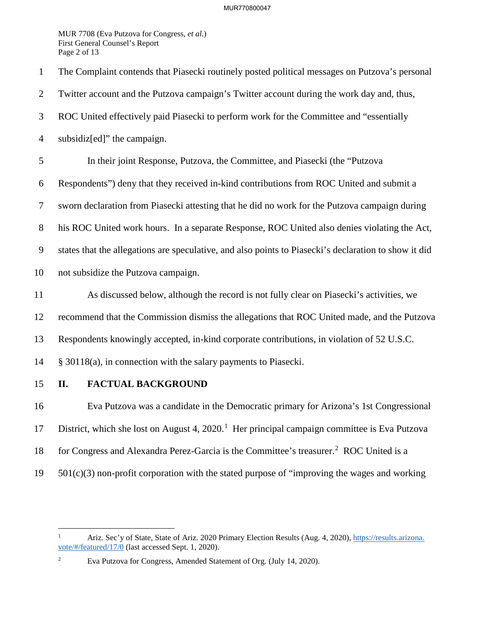MUR 7708 (Eva Putzova for Congress, *et al*.) First General Counsel's Report Page 2 of 13

1 The Complaint contends that Piasecki routinely posted political messages on Putzova's personal 2 Twitter account and the Putzova campaign's Twitter account during the work day and, thus, 3 ROC United effectively paid Piasecki to perform work for the Committee and "essentially 4 subsidiz[ed]" the campaign. 5 In their joint Response, Putzova, the Committee, and Piasecki (the "Putzova 6 Respondents") deny that they received in-kind contributions from ROC United and submit a 7 sworn declaration from Piasecki attesting that he did no work for the Putzova campaign during 8 his ROC United work hours. In a separate Response, ROC United also denies violating the Act, 9 states that the allegations are speculative, and also points to Piasecki's declaration to show it did 10 not subsidize the Putzova campaign. 11 As discussed below, although the record is not fully clear on Piasecki's activities, we 12 recommend that the Commission dismiss the allegations that ROC United made, and the Putzova 13 Respondents knowingly accepted, in-kind corporate contributions, in violation of 52 U.S.C. 14 § 30118(a), in connection with the salary payments to Piasecki. 15 **II. FACTUAL BACKGROUND** 16 Eva Putzova was a candidate in the Democratic primary for Arizona's 1st Congressional 17 District, which she lost on August 4,  $2020<sup>1</sup>$  Her principal campaign committee is Eva Putzova 18 for Congress and Alexandra Perez-Garcia is the Committee's treasurer.<sup>2</sup> ROC United is a

 $19$   $501(c)(3)$  non-profit corporation with the stated purpose of "improving the wages and working

<sup>1</sup> Ariz. Sec'y of State, State of Ariz. 2020 Primary Election Results (Aug. 4, 2020), https://results.arizona. vote/#/featured/17/0 (last accessed Sept. 1, 2020).

<sup>2</sup> Eva Putzova for Congress, Amended Statement of Org. (July 14, 2020).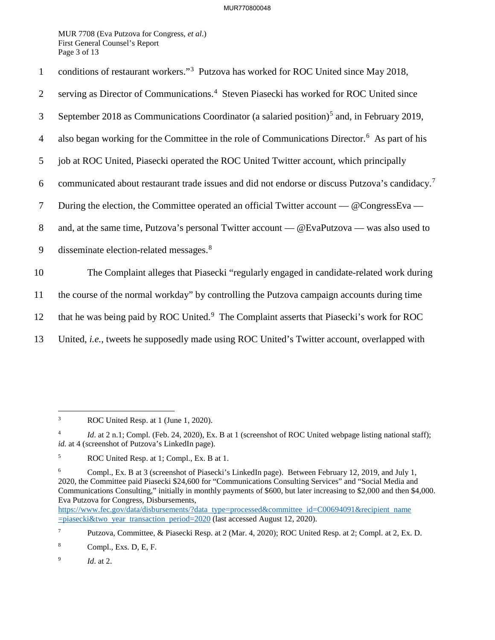## MUR770800048

MUR 7708 (Eva Putzova for Congress, *et al*.) First General Counsel's Report Page 3 of 13

| conditions of restaurant workers." <sup>3</sup> Putzova has worked for ROC United since May 2018, |  |
|---------------------------------------------------------------------------------------------------|--|
|---------------------------------------------------------------------------------------------------|--|

- 2 serving as Director of Communications.<sup>4</sup> Steven Piasecki has worked for ROC United since
- September 2018 as Communications Coordinator (a salaried position)<sup>5</sup> and, in February 2019,
- 4 also began working for the Committee in the role of Communications Director.<sup>6</sup> As part of his
- 5 job at ROC United, Piasecki operated the ROC United Twitter account, which principally
- communicated about restaurant trade issues and did not endorse or discuss Putzova's candidacy.<sup>7</sup> 6
- 7 During the election, the Committee operated an official Twitter account @CongressEva —
- 8 and, at the same time, Putzova's personal Twitter account @EvaPutzova was also used to
- 9 disseminate election-related messages.<sup>8</sup>

10 The Complaint alleges that Piasecki "regularly engaged in candidate-related work during

11 the course of the normal workday" by controlling the Putzova campaign accounts during time

- 12 that he was being paid by ROC United.<sup>9</sup> The Complaint asserts that Piasecki's work for ROC
- 13 United, *i.e.*, tweets he supposedly made using ROC United's Twitter account, overlapped with

8 Compl., Exs. D, E, F.

 $\frac{1}{3}$ ROC United Resp. at 1 (June 1, 2020).

<sup>4</sup> *Id.* at 2 n.1; Compl. (Feb. 24, 2020), Ex. B at 1 (screenshot of ROC United webpage listing national staff); id. at 4 (screenshot of Putzova's LinkedIn page).

<sup>5</sup> ROC United Resp. at 1; Compl., Ex. B at 1.

<sup>6</sup> Compl., Ex. B at 3 (screenshot of Piasecki's LinkedIn page). Between February 12, 2019, and July 1, 2020, the Committee paid Piasecki \$24,600 for "Communications Consulting Services" and "Social Media and Communications Consulting," initially in monthly payments of \$600, but later increasing to \$2,000 and then \$4,000. Eva Putzova for Congress, Disbursements,

https://www.fec.gov/data/disbursements/?data type=processed&committee id=C00694091&recipient name =piasecki&two year transaction period=2020 (last accessed August 12, 2020).

<sup>7</sup> Putzova, Committee, & Piasecki Resp. at 2 (Mar. 4, 2020); ROC United Resp. at 2; Compl. at 2, Ex. D.

<sup>9</sup> *Id*. at 2.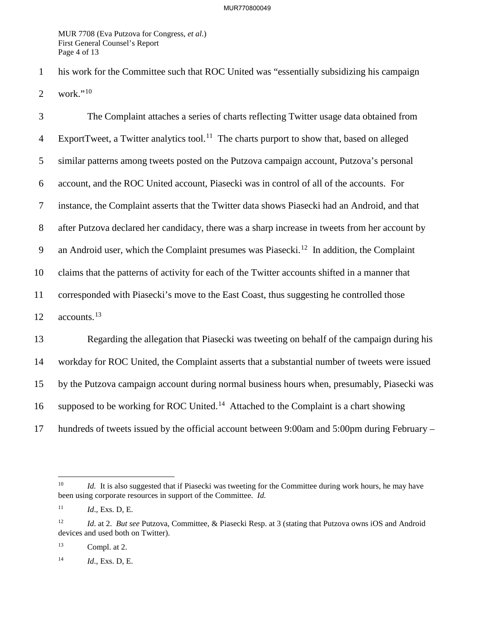MUR 7708 (Eva Putzova for Congress, *et al*.) First General Counsel's Report Page 4 of 13

1 his work for the Committee such that ROC United was "essentially subsidizing his campaign 2 work." $10$ 

3 The Complaint attaches a series of charts reflecting Twitter usage data obtained from 4 ExportTweet, a Twitter analytics tool.<sup>11</sup> The charts purport to show that, based on alleged 5 similar patterns among tweets posted on the Putzova campaign account, Putzova's personal 6 account, and the ROC United account, Piasecki was in control of all of the accounts. For 7 instance, the Complaint asserts that the Twitter data shows Piasecki had an Android, and that 8 after Putzova declared her candidacy, there was a sharp increase in tweets from her account by 9 an Android user, which the Complaint presumes was Piasecki.<sup>12</sup> In addition, the Complaint 10 claims that the patterns of activity for each of the Twitter accounts shifted in a manner that 11 corresponded with Piasecki's move to the East Coast, thus suggesting he controlled those 12 accounts.<sup>13</sup> 13 Regarding the allegation that Piasecki was tweeting on behalf of the campaign during his 14 workday for ROC United, the Complaint asserts that a substantial number of tweets were issued 15 by the Putzova campaign account during normal business hours when, presumably, Piasecki was 16 supposed to be working for ROC United.<sup>14</sup> Attached to the Complaint is a chart showing 17 hundreds of tweets issued by the official account between 9:00am and 5:00pm during February –

 $10\,$ *Id.* It is also suggested that if Piasecki was tweeting for the Committee during work hours, he may have been using corporate resources in support of the Committee. *Id.*

<sup>11</sup> *Id*., Exs. D, E.

<sup>12</sup> *Id*. at 2. *But see* Putzova, Committee, & Piasecki Resp. at 3 (stating that Putzova owns iOS and Android devices and used both on Twitter).

 $13$  Compl. at 2.

<sup>14</sup> *Id*., Exs. D, E.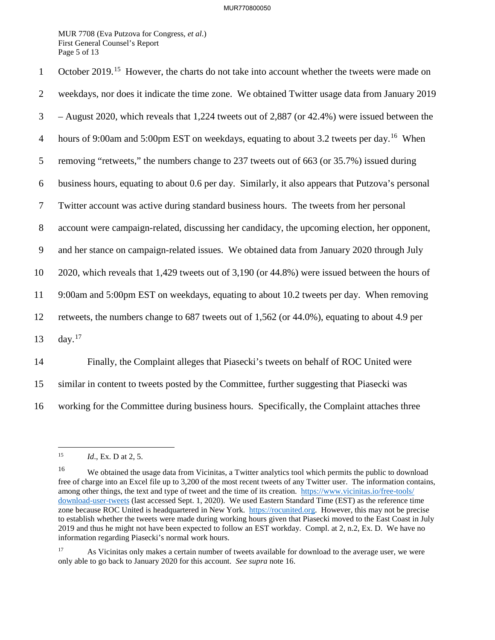MUR 7708 (Eva Putzova for Congress, *et al*.) First General Counsel's Report Page 5 of 13

| $\mathbf{1}$   | October 2019. <sup>15</sup> However, the charts do not take into account whether the tweets were made on |
|----------------|----------------------------------------------------------------------------------------------------------|
| $\overline{2}$ | weekdays, nor does it indicate the time zone. We obtained Twitter usage data from January 2019           |
| 3              | $-$ August 2020, which reveals that 1,224 tweets out of 2,887 (or 42.4%) were issued between the         |
| $\overline{4}$ | hours of 9:00am and 5:00pm EST on weekdays, equating to about 3.2 tweets per day. <sup>16</sup> When     |
| 5              | removing "retweets," the numbers change to 237 tweets out of 663 (or 35.7%) issued during                |
| 6              | business hours, equating to about 0.6 per day. Similarly, it also appears that Putzova's personal        |
| $\tau$         | Twitter account was active during standard business hours. The tweets from her personal                  |
| $8\,$          | account were campaign-related, discussing her candidacy, the upcoming election, her opponent,            |
| 9              | and her stance on campaign-related issues. We obtained data from January 2020 through July               |
| 10             | 2020, which reveals that 1,429 tweets out of 3,190 (or 44.8%) were issued between the hours of           |
| 11             | 9:00am and 5:00pm EST on weekdays, equating to about 10.2 tweets per day. When removing                  |
| 12             | retweets, the numbers change to 687 tweets out of 1,562 (or 44.0%), equating to about 4.9 per            |
| 13             | day. $17$                                                                                                |
| 14             | Finally, the Complaint alleges that Piasecki's tweets on behalf of ROC United were                       |
| 15             | similar in content to tweets posted by the Committee, further suggesting that Piasecki was               |

16 working for the Committee during business hours. Specifically, the Complaint attaches three

 $15\,$ *Id.*, Ex. D at 2, 5.

<sup>&</sup>lt;sup>16</sup> We obtained the usage data from Vicinitas, a Twitter analytics tool which permits the public to download free of charge into an Excel file up to 3,200 of the most recent tweets of any Twitter user. The information contains, among other things, the text and type of tweet and the time of its creation. https://www.vicinitas.io/free-tools/ download-user-tweets (last accessed Sept. 1, 2020). We used Eastern Standard Time (EST) as the reference time zone because ROC United is headquartered in New York. https://rocunited.org. However, this may not be precise to establish whether the tweets were made during working hours given that Piasecki moved to the East Coast in July 2019 and thus he might not have been expected to follow an EST workday. Compl. at 2, n.2, Ex. D. We have no information regarding Piasecki's normal work hours.

<sup>&</sup>lt;sup>17</sup> As Vicinitas only makes a certain number of tweets available for download to the average user, we were only able to go back to January 2020 for this account. *See supra* note 16.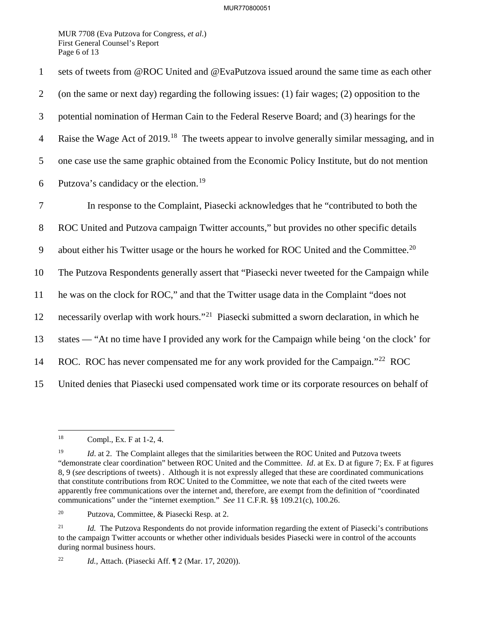## MUR770800051

MUR 7708 (Eva Putzova for Congress, *et al*.) First General Counsel's Report Page 6 of 13

1 sets of tweets from @ROC United and @EvaPutzova issued around the same time as each other 2 (on the same or next day) regarding the following issues: (1) fair wages; (2) opposition to the 3 potential nomination of Herman Cain to the Federal Reserve Board; and (3) hearings for the 4 Raise the Wage Act of 2019.<sup>18</sup> The tweets appear to involve generally similar messaging, and in 5 one case use the same graphic obtained from the Economic Policy Institute, but do not mention 6 Putzova's candidacy or the election.<sup>19</sup> 7 In response to the Complaint, Piasecki acknowledges that he "contributed to both the 8 ROC United and Putzova campaign Twitter accounts," but provides no other specific details 9 about either his Twitter usage or the hours he worked for ROC United and the Committee.<sup>20</sup> 10 The Putzova Respondents generally assert that "Piasecki never tweeted for the Campaign while 11 he was on the clock for ROC," and that the Twitter usage data in the Complaint "does not 12 necessarily overlap with work hours."<sup>21</sup> Piasecki submitted a sworn declaration, in which he 13 states — "At no time have I provided any work for the Campaign while being 'on the clock' for 14 ROC. ROC has never compensated me for any work provided for the Campaign."<sup>22</sup> ROC 15 United denies that Piasecki used compensated work time or its corporate resources on behalf of

<sup>18</sup> Compl., Ex. F at 1-2, 4.

<sup>&</sup>lt;sup>19</sup> *Id.* at 2. The Complaint alleges that the similarities between the ROC United and Putzova tweets "demonstrate clear coordination" between ROC United and the Committee. *Id*. at Ex. D at figure 7; Ex. F at figures 8, 9 (*see* descriptions of tweets) . Although it is not expressly alleged that these are coordinated communications that constitute contributions from ROC United to the Committee, we note that each of the cited tweets were apparently free communications over the internet and, therefore, are exempt from the definition of "coordinated communications" under the "internet exemption." *See* 11 C.F.R. §§ 109.21(c), 100.26.

<sup>20</sup> Putzova, Committee, & Piasecki Resp. at 2.

<sup>&</sup>lt;sup>21</sup> *Id.* The Putzova Respondents do not provide information regarding the extent of Piasecki's contributions to the campaign Twitter accounts or whether other individuals besides Piasecki were in control of the accounts during normal business hours.

<sup>22</sup> *Id.*, Attach. (Piasecki Aff. ¶ 2 (Mar. 17, 2020)).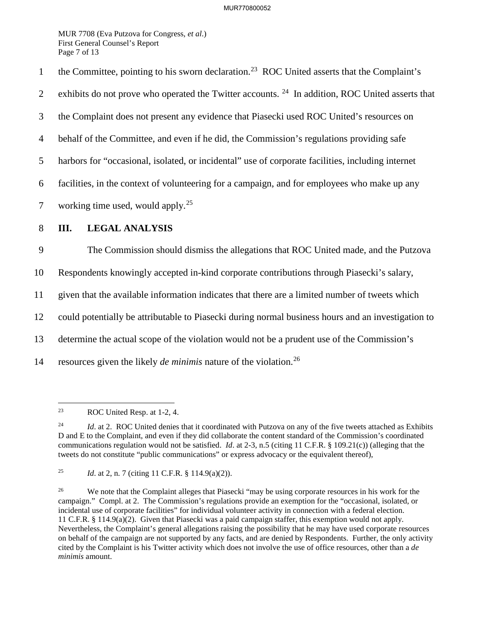MUR 7708 (Eva Putzova for Congress, *et al*.) First General Counsel's Report Page 7 of 13

the Committee, pointing to his sworn declaration.<sup>23</sup> ROC United asserts that the Complaint's 2 exhibits do not prove who operated the Twitter accounts.  $24$  In addition, ROC United asserts that 3 the Complaint does not present any evidence that Piasecki used ROC United's resources on 4 behalf of the Committee, and even if he did, the Commission's regulations providing safe 5 harbors for "occasional, isolated, or incidental" use of corporate facilities, including internet 6 facilities, in the context of volunteering for a campaign, and for employees who make up any 7 working time used, would apply.<sup>25</sup> 8 **III. LEGAL ANALYSIS** 9 The Commission should dismiss the allegations that ROC United made, and the Putzova 10 Respondents knowingly accepted in-kind corporate contributions through Piasecki's salary, 11 given that the available information indicates that there are a limited number of tweets which 12 could potentially be attributable to Piasecki during normal business hours and an investigation to 13 determine the actual scope of the violation would not be a prudent use of the Commission's resources given the likely *de minimis* nature of the violation.<sup>26</sup> 14

<sup>23</sup> ROC United Resp. at 1-2, 4.

<sup>&</sup>lt;sup>24</sup> *Id.* at 2. ROC United denies that it coordinated with Putzova on any of the five tweets attached as Exhibits D and E to the Complaint, and even if they did collaborate the content standard of the Commission's coordinated communications regulation would not be satisfied. *Id*. at 2-3, n.5 (citing 11 C.F.R. § 109.21(c)) (alleging that the tweets do not constitute "public communications" or express advocacy or the equivalent thereof),

<sup>25</sup> *Id*. at 2, n. 7 (citing 11 C.F.R. § 114.9(a)(2)).

<sup>&</sup>lt;sup>26</sup> We note that the Complaint alleges that Piasecki "may be using corporate resources in his work for the campaign." Compl. at 2. The Commission's regulations provide an exemption for the "occasional, isolated, or incidental use of corporate facilities" for individual volunteer activity in connection with a federal election. 11 C.F.R. § 114.9(a)(2). Given that Piasecki was a paid campaign staffer, this exemption would not apply. Nevertheless, the Complaint's general allegations raising the possibility that he may have used corporate resources on behalf of the campaign are not supported by any facts, and are denied by Respondents. Further, the only activity cited by the Complaint is his Twitter activity which does not involve the use of office resources, other than a *de minimis* amount.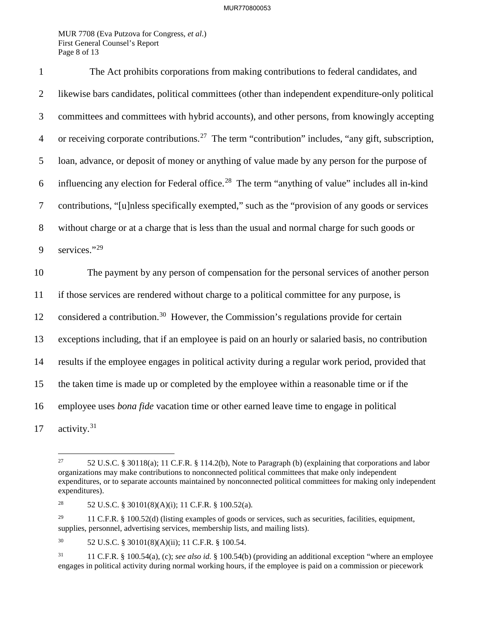## MUR770800053

MUR 7708 (Eva Putzova for Congress, *et al*.) First General Counsel's Report Page 8 of 13

1 The Act prohibits corporations from making contributions to federal candidates, and 2 likewise bars candidates, political committees (other than independent expenditure-only political 3 committees and committees with hybrid accounts), and other persons, from knowingly accepting 4 or receiving corporate contributions.<sup>27</sup> The term "contribution" includes, "any gift, subscription, 5 loan, advance, or deposit of money or anything of value made by any person for the purpose of 6 influencing any election for Federal office.<sup>28</sup> The term "anything of value" includes all in-kind 7 contributions, "[u]nless specifically exempted," such as the "provision of any goods or services 8 without charge or at a charge that is less than the usual and normal charge for such goods or 9 services."29 10 The payment by any person of compensation for the personal services of another person 11 if those services are rendered without charge to a political committee for any purpose, is 12 considered a contribution.<sup>30</sup> However, the Commission's regulations provide for certain 13 exceptions including, that if an employee is paid on an hourly or salaried basis, no contribution 14 results if the employee engages in political activity during a regular work period, provided that 15 the taken time is made up or completed by the employee within a reasonable time or if the 16 employee uses *bona fide* vacation time or other earned leave time to engage in political 17 activity.<sup>31</sup>

<sup>27</sup> 27 52 U.S.C. § 30118(a); 11 C.F.R. § 114.2(b), Note to Paragraph (b) (explaining that corporations and labor organizations may make contributions to nonconnected political committees that make only independent expenditures, or to separate accounts maintained by nonconnected political committees for making only independent expenditures).

<sup>&</sup>lt;sup>28</sup> 52 U.S.C. § 30101(8)(A)(i); 11 C.F.R. § 100.52(a).

<sup>&</sup>lt;sup>29</sup> 11 C.F.R. § 100.52(d) (listing examples of goods or services, such as securities, facilities, equipment, supplies, personnel, advertising services, membership lists, and mailing lists).

<sup>30 52</sup> U.S.C. § 30101(8)(A)(ii); 11 C.F.R. § 100.54.

<sup>&</sup>lt;sup>31</sup> 11 C.F.R. § 100.54(a), (c); *see also id.* § 100.54(b) (providing an additional exception "where an employee engages in political activity during normal working hours, if the employee is paid on a commission or piecework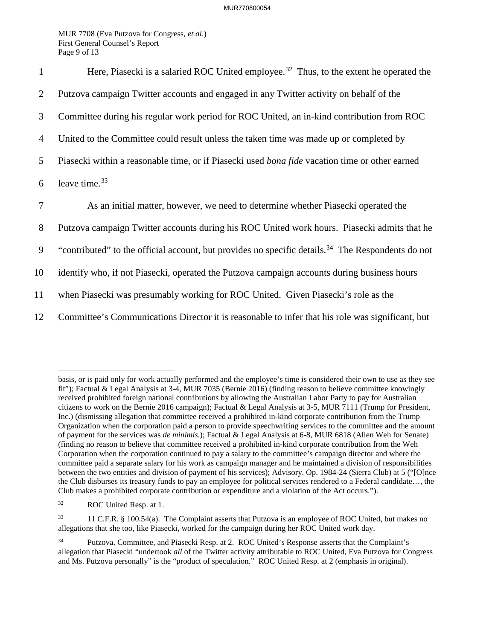MUR 7708 (Eva Putzova for Congress, *et al*.) First General Counsel's Report Page 9 of 13

| $\mathbf{1}$   | Here, Piasecki is a salaried ROC United employee. <sup>32</sup> Thus, to the extent he operated the           |
|----------------|---------------------------------------------------------------------------------------------------------------|
| 2              | Putzova campaign Twitter accounts and engaged in any Twitter activity on behalf of the                        |
| 3              | Committee during his regular work period for ROC United, an in-kind contribution from ROC                     |
| $\overline{4}$ | United to the Committee could result unless the taken time was made up or completed by                        |
| 5              | Piasecki within a reasonable time, or if Piasecki used <i>bona fide</i> vacation time or other earned         |
| 6              | leave time. <sup>33</sup>                                                                                     |
|                |                                                                                                               |
| $\overline{7}$ | As an initial matter, however, we need to determine whether Piasecki operated the                             |
| 8              | Putzova campaign Twitter accounts during his ROC United work hours. Piasecki admits that he                   |
| 9              | "contributed" to the official account, but provides no specific details. <sup>34</sup> The Respondents do not |
| 10             | identify who, if not Piasecki, operated the Putzova campaign accounts during business hours                   |
| 11             | when Piasecki was presumably working for ROC United. Given Piasecki's role as the                             |

basis, or is paid only for work actually performed and the employee's time is considered their own to use as they see fit"); Factual & Legal Analysis at 3-4, MUR 7035 (Bernie 2016) (finding reason to believe committee knowingly received prohibited foreign national contributions by allowing the Australian Labor Party to pay for Australian citizens to work on the Bernie 2016 campaign); Factual & Legal Analysis at 3-5, MUR 7111 (Trump for President, Inc.) (dismissing allegation that committee received a prohibited in-kind corporate contribution from the Trump Organization when the corporation paid a person to provide speechwriting services to the committee and the amount of payment for the services was *de minimis.*); Factual & Legal Analysis at 6-8, MUR 6818 (Allen Weh for Senate) (finding no reason to believe that committee received a prohibited in-kind corporate contribution from the Weh Corporation when the corporation continued to pay a salary to the committee's campaign director and where the committee paid a separate salary for his work as campaign manager and he maintained a division of responsibilities between the two entities and division of payment of his services); Advisory. Op. 1984-24 (Sierra Club) at 5 ("[O]nce the Club disburses its treasury funds to pay an employee for political services rendered to a Federal candidate…, the Club makes a prohibited corporate contribution or expenditure and a violation of the Act occurs.").

<sup>32</sup> ROC United Resp. at 1.

<sup>33 11</sup> C.F.R. § 100.54(a). The Complaint asserts that Putzova is an employee of ROC United, but makes no allegations that she too, like Piasecki, worked for the campaign during her ROC United work day.

Putzova, Committee, and Piasecki Resp. at 2. ROC United's Response asserts that the Complaint's allegation that Piasecki "undertook *all* of the Twitter activity attributable to ROC United, Eva Putzova for Congress and Ms. Putzova personally" is the "product of speculation." ROC United Resp. at 2 (emphasis in original).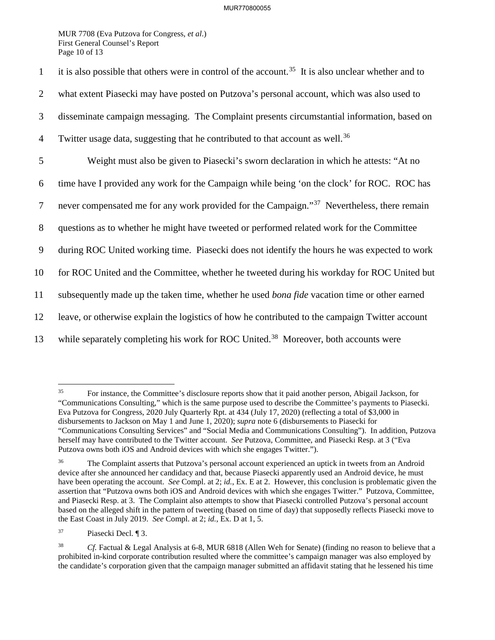MUR 7708 (Eva Putzova for Congress, *et al*.) First General Counsel's Report Page 10 of 13

it is also possible that others were in control of the account.<sup>35</sup> It is also unclear whether and to 2 what extent Piasecki may have posted on Putzova's personal account, which was also used to 3 disseminate campaign messaging. The Complaint presents circumstantial information, based on 4 Twitter usage data, suggesting that he contributed to that account as well.<sup>36</sup> 5 Weight must also be given to Piasecki's sworn declaration in which he attests: "At no 6 time have I provided any work for the Campaign while being 'on the clock' for ROC. ROC has 7 never compensated me for any work provided for the Campaign."<sup>37</sup> Nevertheless, there remain 8 questions as to whether he might have tweeted or performed related work for the Committee 9 during ROC United working time. Piasecki does not identify the hours he was expected to work 10 for ROC United and the Committee, whether he tweeted during his workday for ROC United but 11 subsequently made up the taken time, whether he used *bona fide* vacation time or other earned 12 leave, or otherwise explain the logistics of how he contributed to the campaign Twitter account 13 while separately completing his work for ROC United.<sup>38</sup> Moreover, both accounts were

 $35\,$ 35 For instance, the Committee's disclosure reports show that it paid another person, Abigail Jackson, for "Communications Consulting," which is the same purpose used to describe the Committee's payments to Piasecki. Eva Putzova for Congress, 2020 July Quarterly Rpt. at 434 (July 17, 2020) (reflecting a total of \$3,000 in disbursements to Jackson on May 1 and June 1, 2020); *supra* note 6 (disbursements to Piasecki for "Communications Consulting Services" and "Social Media and Communications Consulting"). In addition, Putzova herself may have contributed to the Twitter account. *See* Putzova, Committee, and Piasecki Resp. at 3 ("Eva Putzova owns both iOS and Android devices with which she engages Twitter.").

<sup>&</sup>lt;sup>36</sup> The Complaint asserts that Putzova's personal account experienced an uptick in tweets from an Android device after she announced her candidacy and that, because Piasecki apparently used an Android device, he must have been operating the account. *See* Compl. at 2; *id.*, Ex. E at 2. However, this conclusion is problematic given the assertion that "Putzova owns both iOS and Android devices with which she engages Twitter." Putzova, Committee, and Piasecki Resp. at 3. The Complaint also attempts to show that Piasecki controlled Putzova's personal account based on the alleged shift in the pattern of tweeting (based on time of day) that supposedly reflects Piasecki move to the East Coast in July 2019. *See* Compl. at 2; *id.*, Ex. D at 1, 5.

<sup>37</sup> Piasecki Decl. ¶ 3.

<sup>38</sup> *Cf.* Factual & Legal Analysis at 6-8, MUR 6818 (Allen Weh for Senate) (finding no reason to believe that a prohibited in-kind corporate contribution resulted where the committee's campaign manager was also employed by the candidate's corporation given that the campaign manager submitted an affidavit stating that he lessened his time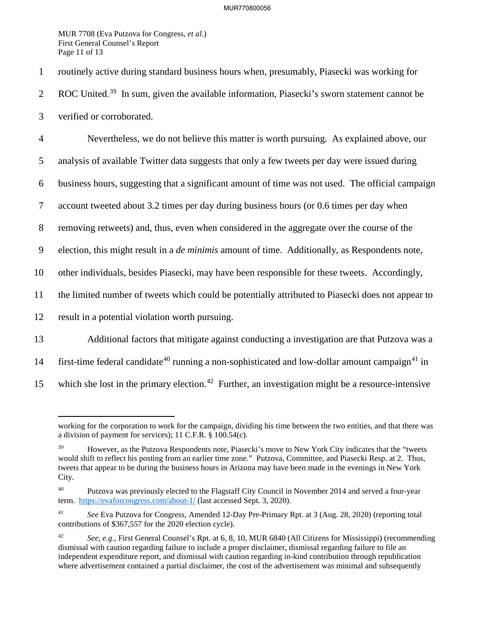MUR 7708 (Eva Putzova for Congress, *et al*.) First General Counsel's Report Page 11 of 13

1 routinely active during standard business hours when, presumably, Piasecki was working for 2 ROC United.<sup>39</sup> In sum, given the available information, Piasecki's sworn statement cannot be 3 verified or corroborated.

4 Nevertheless, we do not believe this matter is worth pursuing. As explained above, our

5 analysis of available Twitter data suggests that only a few tweets per day were issued during

6 business hours, suggesting that a significant amount of time was not used. The official campaign

7 account tweeted about 3.2 times per day during business hours (or 0.6 times per day when

8 removing retweets) and, thus, even when considered in the aggregate over the course of the

9 election, this might result in a *de minimis* amount of time. Additionally, as Respondents note,

10 other individuals, besides Piasecki, may have been responsible for these tweets. Accordingly,

11 the limited number of tweets which could be potentially attributed to Piasecki does not appear to

12 result in a potential violation worth pursuing.

13 Additional factors that mitigate against conducting a investigation are that Putzova was a

- 14 first-time federal candidate<sup>40</sup> running a non-sophisticated and low-dollar amount campaign<sup>41</sup> in
- 15 which she lost in the primary election.<sup>42</sup> Further, an investigation might be a resource-intensive

 $\overline{a}$ working for the corporation to work for the campaign, dividing his time between the two entities, and that there was a division of payment for services); 11 C.F.R. § 100.54(c).

<sup>&</sup>lt;sup>39</sup> However, as the Putzova Respondents note, Piasecki's move to New York City indicates that the "tweets" would shift to reflect his posting from an earlier time zone." Putzova, Committee, and Piasecki Resp. at 2. Thus, tweets that appear to be during the business hours in Arizona may have been made in the evenings in New York City.

<sup>&</sup>lt;sup>40</sup> Putzova was previously elected to the Flagstaff City Council in November 2014 and served a four-year term. https://evaforcongress.com/about-1/ (last accessed Sept. 3, 2020).

<sup>41</sup> *See* Eva Putzova for Congress, Amended 12-Day Pre-Primary Rpt. at 3 (Aug. 28, 2020) (reporting total contributions of \$367,557 for the 2020 election cycle).

<sup>42</sup> *See, e.g.*, First General Counsel's Rpt. at 6, 8, 10, MUR 6840 (All Citizens for Mississippi) (recommending dismissal with caution regarding failure to include a proper disclaimer, dismissal regarding failure to file an independent expenditure report, and dismissal with caution regarding in-kind contribution through republication where advertisement contained a partial disclaimer, the cost of the advertisement was minimal and subsequently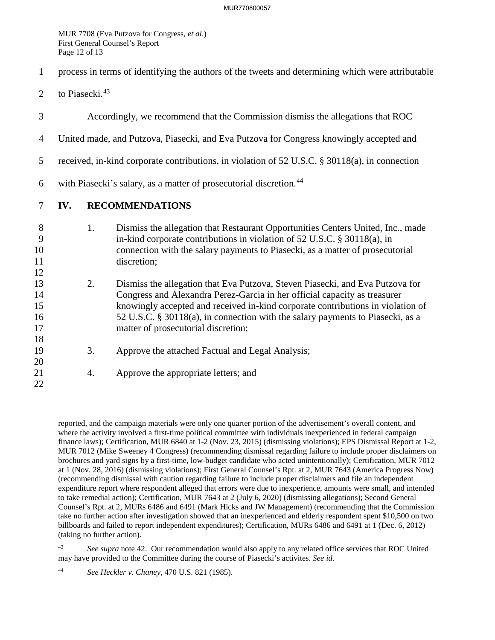MUR 7708 (Eva Putzova for Congress, *et al*.) First General Counsel's Report Page 12 of 13

- 1 process in terms of identifying the authors of the tweets and determining which were attributable
- 2 to Piasecki. $43$

- 3 Accordingly, we recommend that the Commission dismiss the allegations that ROC
- 4 United made, and Putzova, Piasecki, and Eva Putzova for Congress knowingly accepted and
- 5 received, in-kind corporate contributions, in violation of 52 U.S.C. § 30118(a), in connection
- 6 with Piasecki's salary, as a matter of prosecutorial discretion.<sup>44</sup>
- 7 **IV. RECOMMENDATIONS**
- 8 1. Dismiss the allegation that Restaurant Opportunities Centers United, Inc., made 9 in-kind corporate contributions in violation of 52 U.S.C. § 30118(a), in 10 connection with the salary payments to Piasecki, as a matter of prosecutorial 11 discretion; 12 13 2. Dismiss the allegation that Eva Putzova, Steven Piasecki, and Eva Putzova for 14 Congress and Alexandra Perez-Garcia in her official capacity as treasurer 15 knowingly accepted and received in-kind corporate contributions in violation of 16 52 U.S.C. § 30118(a), in connection with the salary payments to Piasecki, as a 17 matter of prosecutorial discretion; 18 19 3. Approve the attached Factual and Legal Analysis; 20 21 4. Approve the appropriate letters; and 22

reported, and the campaign materials were only one quarter portion of the advertisement's overall content, and where the activity involved a first-time political committee with individuals inexperienced in federal campaign finance laws); Certification, MUR 6840 at 1-2 (Nov. 23, 2015) (dismissing violations); EPS Dismissal Report at 1-2, MUR 7012 (Mike Sweeney 4 Congress) (recommending dismissal regarding failure to include proper disclaimers on brochures and yard signs by a first-time, low-budget candidate who acted unintentionally); Certification, MUR 7012 at 1 (Nov. 28, 2016) (dismissing violations); First General Counsel's Rpt. at 2, MUR 7643 (America Progress Now) (recommending dismissal with caution regarding failure to include proper disclaimers and file an independent expenditure report where respondent alleged that errors were due to inexperience, amounts were small, and intended to take remedial action); Certification, MUR 7643 at 2 (July 6, 2020) (dismissing allegations); Second General Counsel's Rpt. at 2, MURs 6486 and 6491 (Mark Hicks and JW Management) (recommending that the Commission take no further action after investigation showed that an inexperienced and elderly respondent spent \$10,500 on two billboards and failed to report independent expenditures); Certification, MURs 6486 and 6491 at 1 (Dec. 6, 2012) (taking no further action).

<sup>43</sup> *See supra* note 42. Our recommendation would also apply to any related office services that ROC United may have provided to the Committee during the course of Piasecki's activites. *See id.*

<sup>44</sup> *See Heckler v. Chaney*, 470 U.S. 821 (1985).